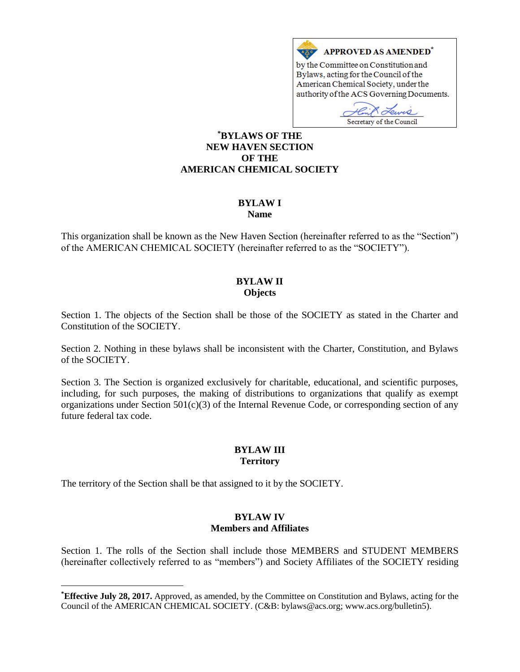

## **\*BYLAWS OF THE NEW HAVEN SECTION OF THE AMERICAN CHEMICAL SOCIETY**

#### **BYLAW I Name**

This organization shall be known as the New Haven Section (hereinafter referred to as the "Section") of the AMERICAN CHEMICAL SOCIETY (hereinafter referred to as the "SOCIETY").

# **BYLAW II Objects**

Section 1. The objects of the Section shall be those of the SOCIETY as stated in the Charter and Constitution of the SOCIETY.

Section 2. Nothing in these bylaws shall be inconsistent with the Charter, Constitution, and Bylaws of the SOCIETY.

Section 3. The Section is organized exclusively for charitable, educational, and scientific purposes, including, for such purposes, the making of distributions to organizations that qualify as exempt organizations under Section  $501(c)(3)$  of the Internal Revenue Code, or corresponding section of any future federal tax code.

# **BYLAW III Territory**

The territory of the Section shall be that assigned to it by the SOCIETY.

 $\overline{a}$ 

## **BYLAW IV Members and Affiliates**

Section 1. The rolls of the Section shall include those MEMBERS and STUDENT MEMBERS (hereinafter collectively referred to as "members") and Society Affiliates of the SOCIETY residing

**<sup>\*</sup>Effective July 28, 2017.** Approved, as amended, by the Committee on Constitution and Bylaws, acting for the Council of the AMERICAN CHEMICAL SOCIETY. (C&B: bylaws@acs.org; www.acs.org/bulletin5).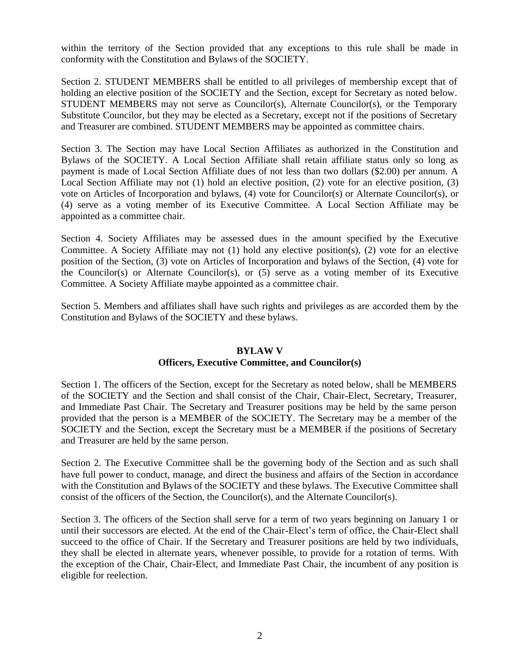within the territory of the Section provided that any exceptions to this rule shall be made in conformity with the Constitution and Bylaws of the SOCIETY.

Section 2. STUDENT MEMBERS shall be entitled to all privileges of membership except that of holding an elective position of the SOCIETY and the Section, except for Secretary as noted below. STUDENT MEMBERS may not serve as Councilor(s), Alternate Councilor(s), or the Temporary Substitute Councilor, but they may be elected as a Secretary, except not if the positions of Secretary and Treasurer are combined. STUDENT MEMBERS may be appointed as committee chairs.

Section 3. The Section may have Local Section Affiliates as authorized in the Constitution and Bylaws of the SOCIETY. A Local Section Affiliate shall retain affiliate status only so long as payment is made of Local Section Affiliate dues of not less than two dollars (\$2.00) per annum. A Local Section Affiliate may not (1) hold an elective position, (2) vote for an elective position, (3) vote on Articles of Incorporation and bylaws, (4) vote for Councilor(s) or Alternate Councilor(s), or (4) serve as a voting member of its Executive Committee. A Local Section Affiliate may be appointed as a committee chair.

Section 4. Society Affiliates may be assessed dues in the amount specified by the Executive Committee. A Society Affiliate may not (1) hold any elective position(s), (2) vote for an elective position of the Section, (3) vote on Articles of Incorporation and bylaws of the Section, (4) vote for the Councilor(s) or Alternate Councilor(s), or (5) serve as a voting member of its Executive Committee. A Society Affiliate maybe appointed as a committee chair.

Section 5. Members and affiliates shall have such rights and privileges as are accorded them by the Constitution and Bylaws of the SOCIETY and these bylaws.

## **BYLAW V**

## **Officers, Executive Committee, and Councilor(s)**

Section 1. The officers of the Section, except for the Secretary as noted below, shall be MEMBERS of the SOCIETY and the Section and shall consist of the Chair, Chair-Elect, Secretary, Treasurer, and Immediate Past Chair. The Secretary and Treasurer positions may be held by the same person provided that the person is a MEMBER of the SOCIETY. The Secretary may be a member of the SOCIETY and the Section, except the Secretary must be a MEMBER if the positions of Secretary and Treasurer are held by the same person.

Section 2. The Executive Committee shall be the governing body of the Section and as such shall have full power to conduct, manage, and direct the business and affairs of the Section in accordance with the Constitution and Bylaws of the SOCIETY and these bylaws. The Executive Committee shall consist of the officers of the Section, the Councilor(s), and the Alternate Councilor(s).

Section 3. The officers of the Section shall serve for a term of two years beginning on January 1 or until their successors are elected. At the end of the Chair-Elect's term of office, the Chair-Elect shall succeed to the office of Chair. If the Secretary and Treasurer positions are held by two individuals, they shall be elected in alternate years, whenever possible, to provide for a rotation of terms. With the exception of the Chair, Chair-Elect, and Immediate Past Chair, the incumbent of any position is eligible for reelection.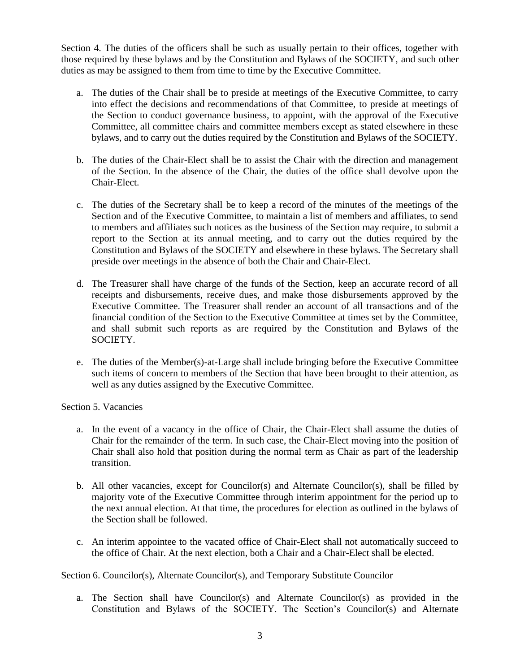Section 4. The duties of the officers shall be such as usually pertain to their offices, together with those required by these bylaws and by the Constitution and Bylaws of the SOCIETY, and such other duties as may be assigned to them from time to time by the Executive Committee.

- a. The duties of the Chair shall be to preside at meetings of the Executive Committee, to carry into effect the decisions and recommendations of that Committee, to preside at meetings of the Section to conduct governance business, to appoint, with the approval of the Executive Committee, all committee chairs and committee members except as stated elsewhere in these bylaws, and to carry out the duties required by the Constitution and Bylaws of the SOCIETY.
- b. The duties of the Chair-Elect shall be to assist the Chair with the direction and management of the Section. In the absence of the Chair, the duties of the office shall devolve upon the Chair-Elect.
- c. The duties of the Secretary shall be to keep a record of the minutes of the meetings of the Section and of the Executive Committee, to maintain a list of members and affiliates, to send to members and affiliates such notices as the business of the Section may require, to submit a report to the Section at its annual meeting, and to carry out the duties required by the Constitution and Bylaws of the SOCIETY and elsewhere in these bylaws. The Secretary shall preside over meetings in the absence of both the Chair and Chair-Elect.
- d. The Treasurer shall have charge of the funds of the Section, keep an accurate record of all receipts and disbursements, receive dues, and make those disbursements approved by the Executive Committee. The Treasurer shall render an account of all transactions and of the financial condition of the Section to the Executive Committee at times set by the Committee, and shall submit such reports as are required by the Constitution and Bylaws of the SOCIETY.
- e. The duties of the Member(s)-at-Large shall include bringing before the Executive Committee such items of concern to members of the Section that have been brought to their attention, as well as any duties assigned by the Executive Committee.

Section 5. Vacancies

- a. In the event of a vacancy in the office of Chair, the Chair-Elect shall assume the duties of Chair for the remainder of the term. In such case, the Chair-Elect moving into the position of Chair shall also hold that position during the normal term as Chair as part of the leadership transition.
- b. All other vacancies, except for Councilor(s) and Alternate Councilor(s), shall be filled by majority vote of the Executive Committee through interim appointment for the period up to the next annual election. At that time, the procedures for election as outlined in the bylaws of the Section shall be followed.
- c. An interim appointee to the vacated office of Chair-Elect shall not automatically succeed to the office of Chair. At the next election, both a Chair and a Chair-Elect shall be elected.

Section 6. Councilor(s), Alternate Councilor(s), and Temporary Substitute Councilor

a. The Section shall have Councilor(s) and Alternate Councilor(s) as provided in the Constitution and Bylaws of the SOCIETY. The Section's Councilor(s) and Alternate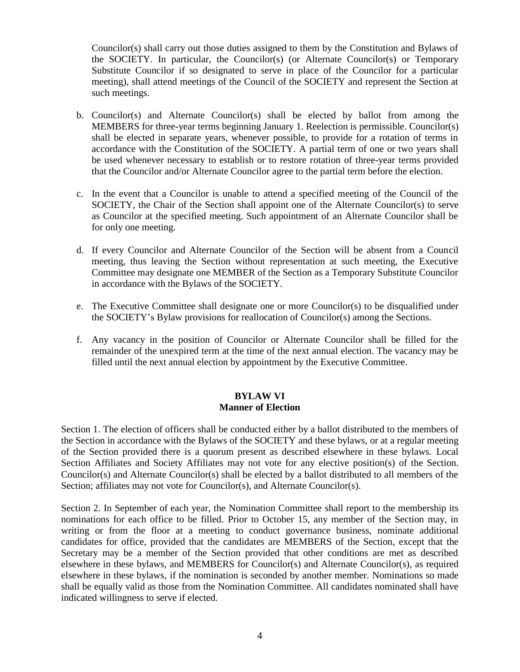Councilor(s) shall carry out those duties assigned to them by the Constitution and Bylaws of the SOCIETY. In particular, the Councilor(s) (or Alternate Councilor(s) or Temporary Substitute Councilor if so designated to serve in place of the Councilor for a particular meeting), shall attend meetings of the Council of the SOCIETY and represent the Section at such meetings.

- b. Councilor(s) and Alternate Councilor(s) shall be elected by ballot from among the MEMBERS for three-year terms beginning January 1. Reelection is permissible. Councilor(s) shall be elected in separate years, whenever possible, to provide for a rotation of terms in accordance with the Constitution of the SOCIETY. A partial term of one or two years shall be used whenever necessary to establish or to restore rotation of three-year terms provided that the Councilor and/or Alternate Councilor agree to the partial term before the election.
- c. In the event that a Councilor is unable to attend a specified meeting of the Council of the SOCIETY, the Chair of the Section shall appoint one of the Alternate Councilor(s) to serve as Councilor at the specified meeting. Such appointment of an Alternate Councilor shall be for only one meeting.
- d. If every Councilor and Alternate Councilor of the Section will be absent from a Council meeting, thus leaving the Section without representation at such meeting, the Executive Committee may designate one MEMBER of the Section as a Temporary Substitute Councilor in accordance with the Bylaws of the SOCIETY.
- e. The Executive Committee shall designate one or more Councilor(s) to be disqualified under the SOCIETY's Bylaw provisions for reallocation of Councilor(s) among the Sections.
- f. Any vacancy in the position of Councilor or Alternate Councilor shall be filled for the remainder of the unexpired term at the time of the next annual election. The vacancy may be filled until the next annual election by appointment by the Executive Committee.

#### **BYLAW VI Manner of Election**

Section 1. The election of officers shall be conducted either by a ballot distributed to the members of the Section in accordance with the Bylaws of the SOCIETY and these bylaws, or at a regular meeting of the Section provided there is a quorum present as described elsewhere in these bylaws. Local Section Affiliates and Society Affiliates may not vote for any elective position(s) of the Section. Councilor(s) and Alternate Councilor(s) shall be elected by a ballot distributed to all members of the Section; affiliates may not vote for Councilor(s), and Alternate Councilor(s).

Section 2. In September of each year, the Nomination Committee shall report to the membership its nominations for each office to be filled. Prior to October 15, any member of the Section may, in writing or from the floor at a meeting to conduct governance business, nominate additional candidates for office, provided that the candidates are MEMBERS of the Section, except that the Secretary may be a member of the Section provided that other conditions are met as described elsewhere in these bylaws, and MEMBERS for Councilor(s) and Alternate Councilor(s), as required elsewhere in these bylaws, if the nomination is seconded by another member. Nominations so made shall be equally valid as those from the Nomination Committee. All candidates nominated shall have indicated willingness to serve if elected.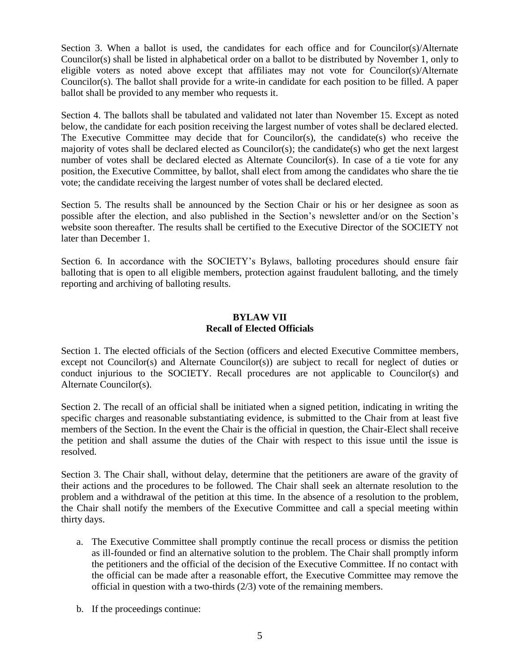Section 3. When a ballot is used, the candidates for each office and for Councilor(s)/Alternate Councilor(s) shall be listed in alphabetical order on a ballot to be distributed by November 1, only to eligible voters as noted above except that affiliates may not vote for Councilor(s)/Alternate Councilor(s). The ballot shall provide for a write-in candidate for each position to be filled. A paper ballot shall be provided to any member who requests it.

Section 4. The ballots shall be tabulated and validated not later than November 15. Except as noted below, the candidate for each position receiving the largest number of votes shall be declared elected. The Executive Committee may decide that for Councilor(s), the candidate(s) who receive the majority of votes shall be declared elected as Councilor(s); the candidate(s) who get the next largest number of votes shall be declared elected as Alternate Councilor(s). In case of a tie vote for any position, the Executive Committee, by ballot, shall elect from among the candidates who share the tie vote; the candidate receiving the largest number of votes shall be declared elected.

Section 5. The results shall be announced by the Section Chair or his or her designee as soon as possible after the election, and also published in the Section's newsletter and/or on the Section's website soon thereafter. The results shall be certified to the Executive Director of the SOCIETY not later than December 1.

Section 6. In accordance with the SOCIETY's Bylaws, balloting procedures should ensure fair balloting that is open to all eligible members, protection against fraudulent balloting, and the timely reporting and archiving of balloting results.

## **BYLAW VII Recall of Elected Officials**

Section 1. The elected officials of the Section (officers and elected Executive Committee members, except not Councilor(s) and Alternate Councilor(s)) are subject to recall for neglect of duties or conduct injurious to the SOCIETY. Recall procedures are not applicable to Councilor(s) and Alternate Councilor(s).

Section 2. The recall of an official shall be initiated when a signed petition, indicating in writing the specific charges and reasonable substantiating evidence, is submitted to the Chair from at least five members of the Section. In the event the Chair is the official in question, the Chair-Elect shall receive the petition and shall assume the duties of the Chair with respect to this issue until the issue is resolved.

Section 3. The Chair shall, without delay, determine that the petitioners are aware of the gravity of their actions and the procedures to be followed. The Chair shall seek an alternate resolution to the problem and a withdrawal of the petition at this time. In the absence of a resolution to the problem, the Chair shall notify the members of the Executive Committee and call a special meeting within thirty days.

- a. The Executive Committee shall promptly continue the recall process or dismiss the petition as ill-founded or find an alternative solution to the problem. The Chair shall promptly inform the petitioners and the official of the decision of the Executive Committee. If no contact with the official can be made after a reasonable effort, the Executive Committee may remove the official in question with a two-thirds (2/3) vote of the remaining members.
- b. If the proceedings continue: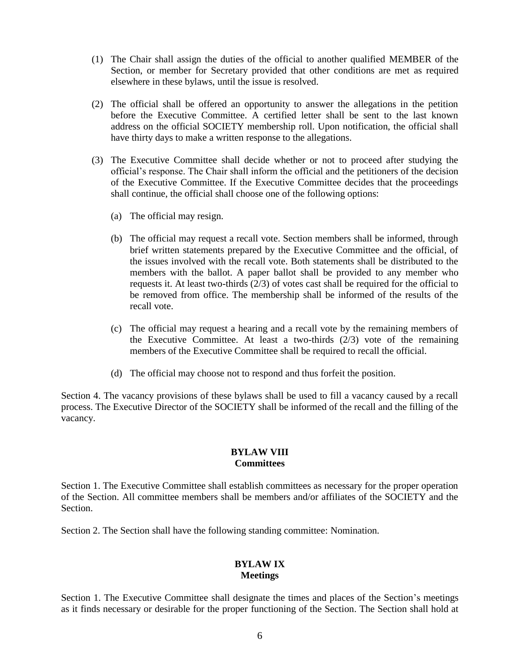- (1) The Chair shall assign the duties of the official to another qualified MEMBER of the Section, or member for Secretary provided that other conditions are met as required elsewhere in these bylaws, until the issue is resolved.
- (2) The official shall be offered an opportunity to answer the allegations in the petition before the Executive Committee. A certified letter shall be sent to the last known address on the official SOCIETY membership roll. Upon notification, the official shall have thirty days to make a written response to the allegations.
- (3) The Executive Committee shall decide whether or not to proceed after studying the official's response. The Chair shall inform the official and the petitioners of the decision of the Executive Committee. If the Executive Committee decides that the proceedings shall continue, the official shall choose one of the following options:
	- (a) The official may resign.
	- (b) The official may request a recall vote. Section members shall be informed, through brief written statements prepared by the Executive Committee and the official, of the issues involved with the recall vote. Both statements shall be distributed to the members with the ballot. A paper ballot shall be provided to any member who requests it. At least two-thirds (2/3) of votes cast shall be required for the official to be removed from office. The membership shall be informed of the results of the recall vote.
	- (c) The official may request a hearing and a recall vote by the remaining members of the Executive Committee. At least a two-thirds  $(2/3)$  vote of the remaining members of the Executive Committee shall be required to recall the official.
	- (d) The official may choose not to respond and thus forfeit the position.

Section 4. The vacancy provisions of these bylaws shall be used to fill a vacancy caused by a recall process. The Executive Director of the SOCIETY shall be informed of the recall and the filling of the vacancy.

## **BYLAW VIII Committees**

Section 1. The Executive Committee shall establish committees as necessary for the proper operation of the Section. All committee members shall be members and/or affiliates of the SOCIETY and the Section.

Section 2. The Section shall have the following standing committee: Nomination.

## **BYLAW IX Meetings**

Section 1. The Executive Committee shall designate the times and places of the Section's meetings as it finds necessary or desirable for the proper functioning of the Section. The Section shall hold at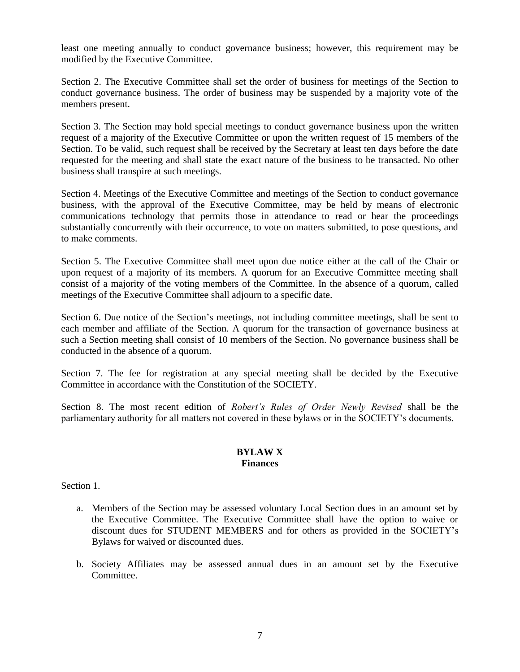least one meeting annually to conduct governance business; however, this requirement may be modified by the Executive Committee.

Section 2. The Executive Committee shall set the order of business for meetings of the Section to conduct governance business. The order of business may be suspended by a majority vote of the members present.

Section 3. The Section may hold special meetings to conduct governance business upon the written request of a majority of the Executive Committee or upon the written request of 15 members of the Section. To be valid, such request shall be received by the Secretary at least ten days before the date requested for the meeting and shall state the exact nature of the business to be transacted. No other business shall transpire at such meetings.

Section 4. Meetings of the Executive Committee and meetings of the Section to conduct governance business, with the approval of the Executive Committee, may be held by means of electronic communications technology that permits those in attendance to read or hear the proceedings substantially concurrently with their occurrence, to vote on matters submitted, to pose questions, and to make comments.

Section 5. The Executive Committee shall meet upon due notice either at the call of the Chair or upon request of a majority of its members. A quorum for an Executive Committee meeting shall consist of a majority of the voting members of the Committee. In the absence of a quorum, called meetings of the Executive Committee shall adjourn to a specific date.

Section 6. Due notice of the Section's meetings, not including committee meetings, shall be sent to each member and affiliate of the Section. A quorum for the transaction of governance business at such a Section meeting shall consist of 10 members of the Section. No governance business shall be conducted in the absence of a quorum.

Section 7. The fee for registration at any special meeting shall be decided by the Executive Committee in accordance with the Constitution of the SOCIETY.

Section 8. The most recent edition of *Robert's Rules of Order Newly Revised* shall be the parliamentary authority for all matters not covered in these bylaws or in the SOCIETY's documents.

## **BYLAW X Finances**

Section 1.

- a. Members of the Section may be assessed voluntary Local Section dues in an amount set by the Executive Committee. The Executive Committee shall have the option to waive or discount dues for STUDENT MEMBERS and for others as provided in the SOCIETY's Bylaws for waived or discounted dues.
- b. Society Affiliates may be assessed annual dues in an amount set by the Executive Committee.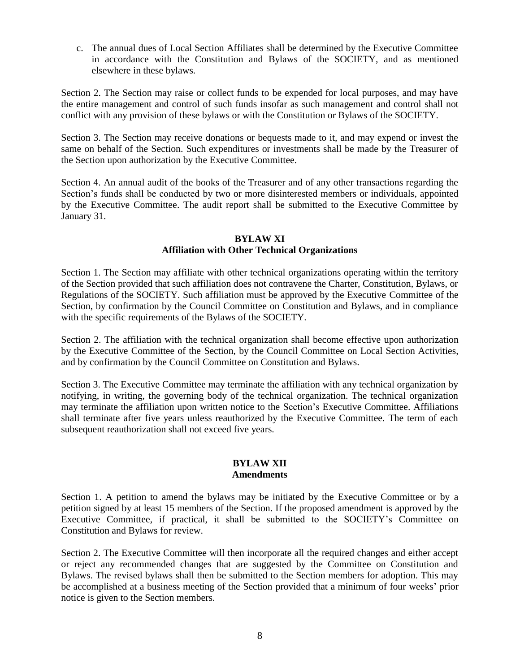c. The annual dues of Local Section Affiliates shall be determined by the Executive Committee in accordance with the Constitution and Bylaws of the SOCIETY, and as mentioned elsewhere in these bylaws.

Section 2. The Section may raise or collect funds to be expended for local purposes, and may have the entire management and control of such funds insofar as such management and control shall not conflict with any provision of these bylaws or with the Constitution or Bylaws of the SOCIETY.

Section 3. The Section may receive donations or bequests made to it, and may expend or invest the same on behalf of the Section. Such expenditures or investments shall be made by the Treasurer of the Section upon authorization by the Executive Committee.

Section 4. An annual audit of the books of the Treasurer and of any other transactions regarding the Section's funds shall be conducted by two or more disinterested members or individuals, appointed by the Executive Committee. The audit report shall be submitted to the Executive Committee by January 31.

## **BYLAW XI Affiliation with Other Technical Organizations**

Section 1. The Section may affiliate with other technical organizations operating within the territory of the Section provided that such affiliation does not contravene the Charter, Constitution, Bylaws, or Regulations of the SOCIETY. Such affiliation must be approved by the Executive Committee of the Section, by confirmation by the Council Committee on Constitution and Bylaws, and in compliance with the specific requirements of the Bylaws of the SOCIETY.

Section 2. The affiliation with the technical organization shall become effective upon authorization by the Executive Committee of the Section, by the Council Committee on Local Section Activities, and by confirmation by the Council Committee on Constitution and Bylaws.

Section 3. The Executive Committee may terminate the affiliation with any technical organization by notifying, in writing, the governing body of the technical organization. The technical organization may terminate the affiliation upon written notice to the Section's Executive Committee. Affiliations shall terminate after five years unless reauthorized by the Executive Committee. The term of each subsequent reauthorization shall not exceed five years.

#### **BYLAW XII Amendments**

Section 1. A petition to amend the bylaws may be initiated by the Executive Committee or by a petition signed by at least 15 members of the Section. If the proposed amendment is approved by the Executive Committee, if practical, it shall be submitted to the SOCIETY's Committee on Constitution and Bylaws for review.

Section 2. The Executive Committee will then incorporate all the required changes and either accept or reject any recommended changes that are suggested by the Committee on Constitution and Bylaws. The revised bylaws shall then be submitted to the Section members for adoption. This may be accomplished at a business meeting of the Section provided that a minimum of four weeks' prior notice is given to the Section members.